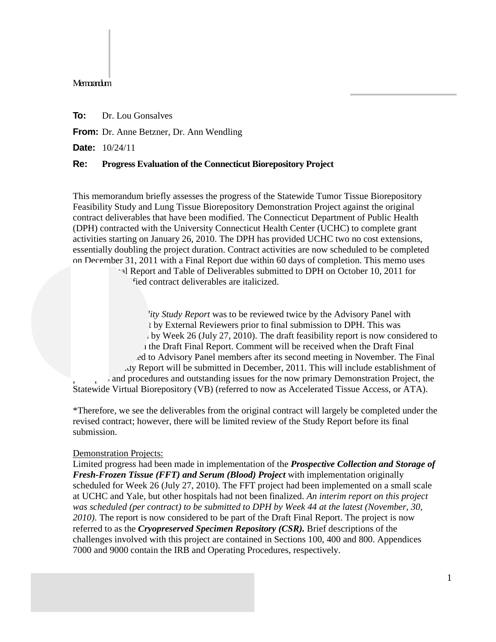#### Memorandum

**To:** Dr. Lou Gonsalves

**From:** Dr. Anne Betzner, Dr. Ann Wendling

**Date:** 10/24/11

### **Re: Progress Evaluation of the Connecticut Biorepository Project**

This memorandum briefly assesses the progress of the Statewide Tumor Tissue Biorepository Feasibility Study and Lung Tissue Biorepository Demonstration Project against the original contract deliverables that have been modified. The Connecticut Department of Public Health (DPH) contracted with the University Connecticut Health Center (UCHC) to complete grant activities starting on January 26, 2010. The DPH has provided UCHC two no cost extensions, essentially doubling the project duration. Contract activities are now scheduled to be completed on December 31, 2011 with a Final Report due within 60 days of completion. This memo uses

hal Report and Table of Deliverables submitted to DPH on October 10, 2011 for fied contract deliverables are italicized.

*Ity Study Report* was to be reviewed twice by the Advisory Panel with t by External Reviewers prior to final submission to DPH. This was by Week 26 (July 27, 2010). The draft feasibility report is now considered to I the Draft Final Report. Comment will be received when the Draft Final ed to Advisory Panel members after its second meeting in November. The Final Feasibility Study Report will be submitted in December, 2011. This will include establishment of part and procedures and outstanding issues for the now primary Demonstration Project, the Statewide Virtual Biorepository (VB) (referred to now as Accelerated Tissue Access, or ATA).

\*Therefore, we see the deliverables from the original contract will largely be completed under the revised contract; however, there will be limited review of the Study Report before its final submission.

# Demonstration Projects:

Limited progress had been made in implementation of the *Prospective Collection and Storage of Fresh-Frozen Tissue (FFT) and Serum (Blood) Project* with implementation originally scheduled for Week 26 (July 27, 2010). The FFT project had been implemented on a small scale at UCHC and Yale, but other hospitals had not been finalized. *An interim report on this project was scheduled (per contract) to be submitted to DPH by Week 44 at the latest (November, 30, 2010).* The report is now considered to be part of the Draft Final Report. The project is now referred to as the *Cryopreserved Specimen Repository (CSR).* Brief descriptions of the challenges involved with this project are contained in Sections 100, 400 and 800. Appendices 7000 and 9000 contain the IRB and Operating Procedures, respectively.